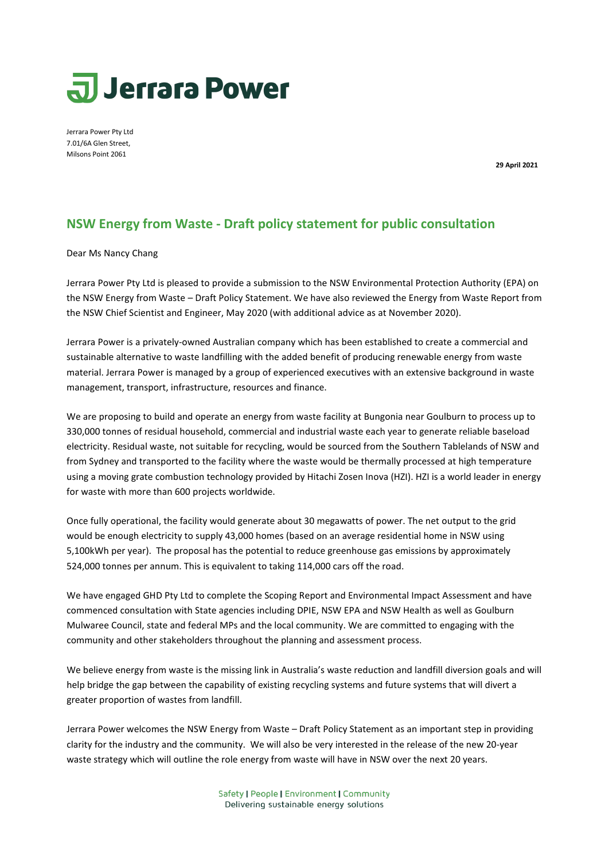## **Jerrara Power**

Jerrara Power Pty Ltd 7.01/6A Glen Street, Milsons Point 2061

**29 April 2021**

## **NSW Energy from Waste - Draft policy statement for public consultation**

Dear Ms Nancy Chang

Jerrara Power Pty Ltd is pleased to provide a submission to the NSW Environmental Protection Authority (EPA) on the NSW Energy from Waste – Draft Policy Statement. We have also reviewed the Energy from Waste Report from the NSW Chief Scientist and Engineer, May 2020 (with additional advice as at November 2020).

Jerrara Power is a privately-owned Australian company which has been established to create a commercial and sustainable alternative to waste landfilling with the added benefit of producing renewable energy from waste material. Jerrara Power is managed by a group of experienced executives with an extensive background in waste management, transport, infrastructure, resources and finance.

We are proposing to build and operate an energy from waste facility at Bungonia near Goulburn to process up to 330,000 tonnes of residual household, commercial and industrial waste each year to generate reliable baseload electricity. Residual waste, not suitable for recycling, would be sourced from the Southern Tablelands of NSW and from Sydney and transported to the facility where the waste would be thermally processed at high temperature using a moving grate combustion technology provided by Hitachi Zosen Inova (HZI). HZI is a world leader in energy for waste with more than 600 projects worldwide.

Once fully operational, the facility would generate about 30 megawatts of power. The net output to the grid would be enough electricity to supply 43,000 homes (based on an average residential home in NSW using 5,100kWh per year). The proposal has the potential to reduce greenhouse gas emissions by approximately 524,000 tonnes per annum. This is equivalent to taking 114,000 cars off the road.

We have engaged GHD Pty Ltd to complete the Scoping Report and Environmental Impact Assessment and have commenced consultation with State agencies including DPIE, NSW EPA and NSW Health as well as Goulburn Mulwaree Council, state and federal MPs and the local community. We are committed to engaging with the community and other stakeholders throughout the planning and assessment process.

We believe energy from waste is the missing link in Australia's waste reduction and landfill diversion goals and will help bridge the gap between the capability of existing recycling systems and future systems that will divert a greater proportion of wastes from landfill.

Jerrara Power welcomes the NSW Energy from Waste – Draft Policy Statement as an important step in providing clarity for the industry and the community. We will also be very interested in the release of the new 20-year waste strategy which will outline the role energy from waste will have in NSW over the next 20 years.

> Safety | People | Environment | Community Delivering sustainable energy solutions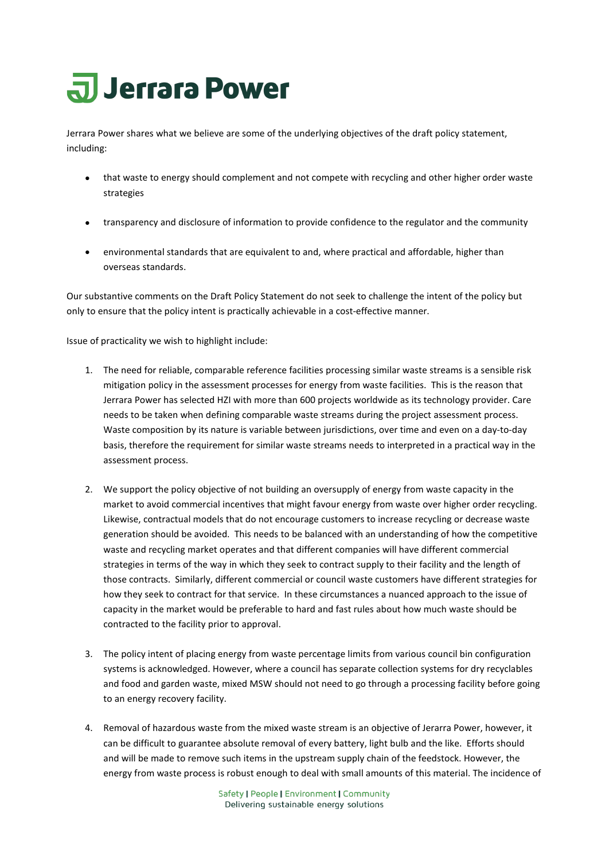## **JJerrara Power**

Jerrara Power shares what we believe are some of the underlying objectives of the draft policy statement, including:

- that waste to energy should complement and not compete with recycling and other higher order waste strategies
- transparency and disclosure of information to provide confidence to the regulator and the community
- environmental standards that are equivalent to and, where practical and affordable, higher than overseas standards.

Our substantive comments on the Draft Policy Statement do not seek to challenge the intent of the policy but only to ensure that the policy intent is practically achievable in a cost-effective manner.

Issue of practicality we wish to highlight include:

- 1. The need for reliable, comparable reference facilities processing similar waste streams is a sensible risk mitigation policy in the assessment processes for energy from waste facilities. This is the reason that Jerrara Power has selected HZI with more than 600 projects worldwide as its technology provider. Care needs to be taken when defining comparable waste streams during the project assessment process. Waste composition by its nature is variable between jurisdictions, over time and even on a day-to-day basis, therefore the requirement for similar waste streams needs to interpreted in a practical way in the assessment process.
- 2. We support the policy objective of not building an oversupply of energy from waste capacity in the market to avoid commercial incentives that might favour energy from waste over higher order recycling. Likewise, contractual models that do not encourage customers to increase recycling or decrease waste generation should be avoided. This needs to be balanced with an understanding of how the competitive waste and recycling market operates and that different companies will have different commercial strategies in terms of the way in which they seek to contract supply to their facility and the length of those contracts. Similarly, different commercial or council waste customers have different strategies for how they seek to contract for that service. In these circumstances a nuanced approach to the issue of capacity in the market would be preferable to hard and fast rules about how much waste should be contracted to the facility prior to approval.
- 3. The policy intent of placing energy from waste percentage limits from various council bin configuration systems is acknowledged. However, where a council has separate collection systems for dry recyclables and food and garden waste, mixed MSW should not need to go through a processing facility before going to an energy recovery facility.
- 4. Removal of hazardous waste from the mixed waste stream is an objective of Jerarra Power, however, it can be difficult to guarantee absolute removal of every battery, light bulb and the like. Efforts should and will be made to remove such items in the upstream supply chain of the feedstock. However, the energy from waste process is robust enough to deal with small amounts of this material. The incidence of

Safety | People | Environment | Community Delivering sustainable energy solutions